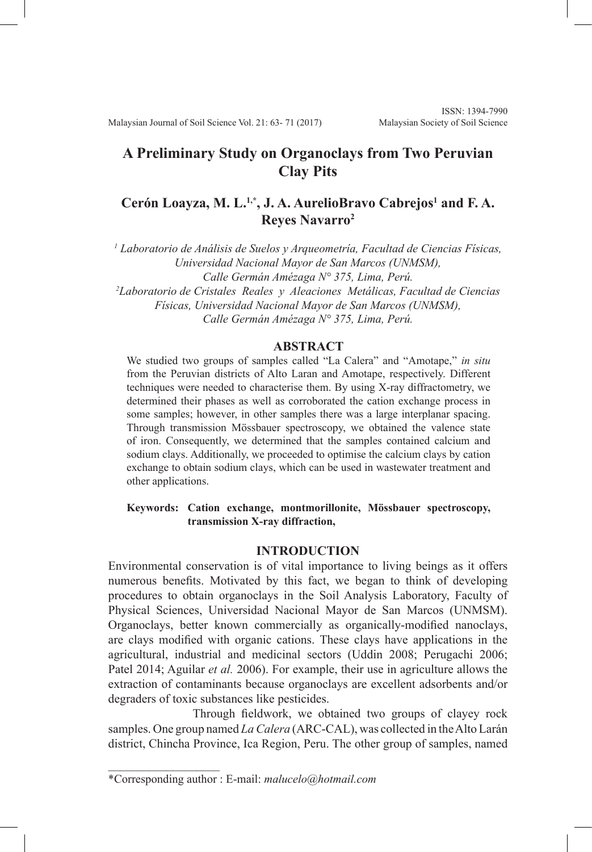Malaysian Journal of Soil Science Vol. 21: 63- 71 (2017)

# **A Preliminary Study on Organoclays from Two Peruvian Clay Pits**

# Cerón Loayza, M. L.<sup>1,\*</sup>, J. A. AurelioBravo Cabrejos<sup>1</sup> and F. A. **Reyes Navarro2**

*1 Laboratorio de Análisis de Suelos y Arqueometría, Facultad de Ciencias Físicas, Universidad Nacional Mayor de San Marcos (UNMSM), Calle Germán Amézaga N° 375, Lima, Perú.*

*2 Laboratorio de Cristales Reales y Aleaciones Metálicas, Facultad de Ciencias Físicas, Universidad Nacional Mayor de San Marcos (UNMSM), Calle Germán Amézaga N° 375, Lima, Perú.*

## **ABSTRACT**

We studied two groups of samples called "La Calera" and "Amotape," *in situ*  from the Peruvian districts of Alto Laran and Amotape, respectively. Different techniques were needed to characterise them. By using X-ray diffractometry, we determined their phases as well as corroborated the cation exchange process in some samples; however, in other samples there was a large interplanar spacing. Through transmission Mössbauer spectroscopy, we obtained the valence state of iron. Consequently, we determined that the samples contained calcium and sodium clays. Additionally, we proceeded to optimise the calcium clays by cation exchange to obtain sodium clays, which can be used in wastewater treatment and other applications.

## **Keywords: Cation exchange, montmorillonite, Mössbauer spectroscopy, transmission X-ray diffraction,**

# **INTRODUCTION**

Environmental conservation is of vital importance to living beings as it offers numerous benefits. Motivated by this fact, we began to think of developing procedures to obtain organoclays in the Soil Analysis Laboratory, Faculty of Physical Sciences, Universidad Nacional Mayor de San Marcos (UNMSM). Organoclays, better known commercially as organically-modified nanoclays, are clays modified with organic cations. These clays have applications in the agricultural, industrial and medicinal sectors (Uddin 2008; Perugachi 2006; Patel 2014; Aguilar *et al.* 2006). For example, their use in agriculture allows the extraction of contaminants because organoclays are excellent adsorbents and/or degraders of toxic substances like pesticides.

Through fieldwork, we obtained two groups of clayey rock samples. One group named *La Calera* (ARC-CAL), was collected in the Alto Larán district, Chincha Province, Ica Region, Peru. The other group of samples, named

 $\mathcal{L}$  , and the set of the set of the set of the set of the set of the set of the set of the set of the set of the set of the set of the set of the set of the set of the set of the set of the set of the set of the set

<sup>\*</sup>Corresponding author : E-mail: *malucelo@hotmail.com*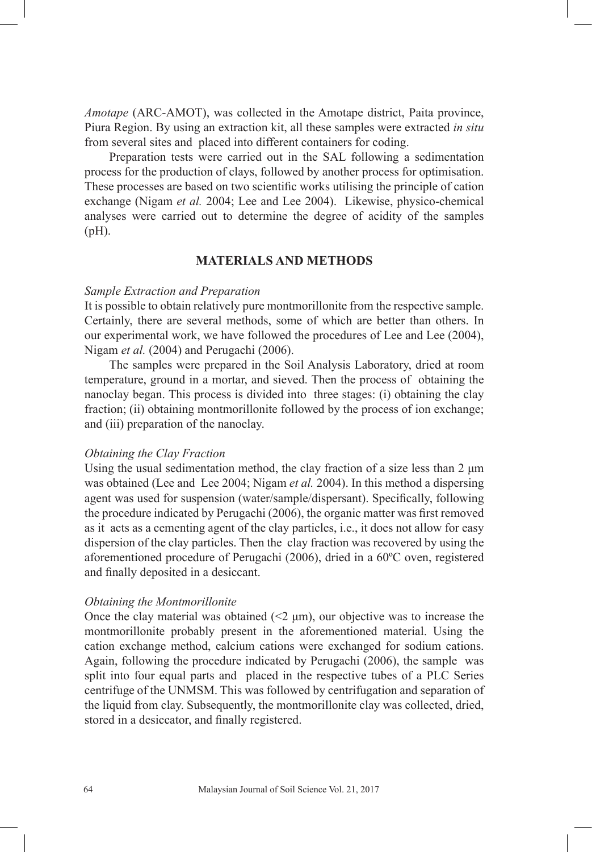*Amotape* (ARC-AMOT), was collected in the Amotape district, Paita province, Piura Region. By using an extraction kit, all these samples were extracted *in situ*  from several sites and placed into different containers for coding.

Preparation tests were carried out in the SAL following a sedimentation process for the production of clays, followed by another process for optimisation. These processes are based on two scientific works utilising the principle of cation exchange (Nigam *et al.* 2004; Lee and Lee 2004). Likewise, physico-chemical analyses were carried out to determine the degree of acidity of the samples (pH).

# **MATERIALS AND METHODS**

## *Sample Extraction and Preparation*

It is possible to obtain relatively pure montmorillonite from the respective sample. Certainly, there are several methods, some of which are better than others. In our experimental work, we have followed the procedures of Lee and Lee (2004), Nigam *et al.* (2004) and Perugachi (2006).

The samples were prepared in the Soil Analysis Laboratory, dried at room temperature, ground in a mortar, and sieved. Then the process of obtaining the nanoclay began. This process is divided into three stages: (i) obtaining the clay fraction; (ii) obtaining montmorillonite followed by the process of ion exchange; and (iii) preparation of the nanoclay.

#### *Obtaining the Clay Fraction*

Using the usual sedimentation method, the clay fraction of a size less than 2 μm was obtained (Lee and Lee 2004; Nigam *et al.* 2004). In this method a dispersing agent was used for suspension (water/sample/dispersant). Specifically, following the procedure indicated by Perugachi (2006), the organic matter was first removed as it acts as a cementing agent of the clay particles, i.e., it does not allow for easy dispersion of the clay particles. Then the clay fraction was recovered by using the aforementioned procedure of Perugachi (2006), dried in a 60ºC oven, registered and finally deposited in a desiccant.

#### *Obtaining the Montmorillonite*

Once the clay material was obtained  $(\leq 2 \mu m)$ , our objective was to increase the montmorillonite probably present in the aforementioned material. Using the cation exchange method, calcium cations were exchanged for sodium cations. Again, following the procedure indicated by Perugachi (2006), the sample was split into four equal parts and placed in the respective tubes of a PLC Series centrifuge of the UNMSM. This was followed by centrifugation and separation of the liquid from clay. Subsequently, the montmorillonite clay was collected, dried, stored in a desiccator, and finally registered.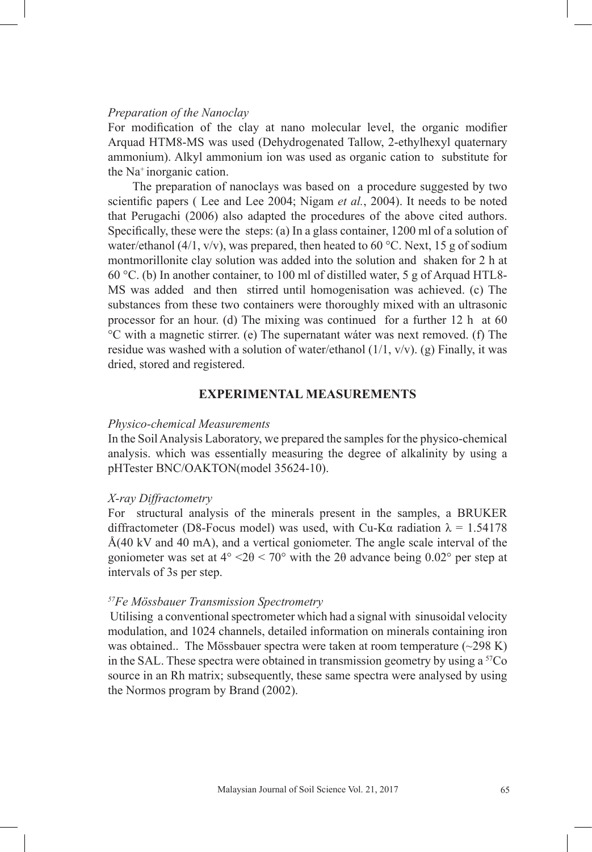# *Preparation of the Nanoclay*

For modification of the clay at nano molecular level, the organic modifier Arquad HTM8-MS was used (Dehydrogenated Tallow, 2-ethylhexyl quaternary ammonium). Alkyl ammonium ion was used as organic cation to substitute for the Na<sup>+</sup>inorganic cation.

The preparation of nanoclays was based on a procedure suggested by two scientific papers ( Lee and Lee 2004; Nigam *et al.*, 2004). It needs to be noted that Perugachi (2006) also adapted the procedures of the above cited authors. Specifically, these were the steps: (a) In a glass container, 1200 ml of a solution of water/ethanol (4/1, v/v), was prepared, then heated to 60 °C. Next, 15 g of sodium montmorillonite clay solution was added into the solution and shaken for 2 h at 60 °C. (b) In another container, to 100 ml of distilled water, 5 g of Arquad HTL8- MS was added and then stirred until homogenisation was achieved. (c) The substances from these two containers were thoroughly mixed with an ultrasonic processor for an hour. (d) The mixing was continued for a further 12 h at 60 °C with a magnetic stirrer. (e) The supernatant wáter was next removed. (f) The residue was washed with a solution of water/ethanol  $(1/1, v/v)$ . (g) Finally, it was dried, stored and registered.

# **EXPERIMENTAL MEASUREMENTS**

# *Physico-chemical Measurements*

In the Soil Analysis Laboratory, we prepared the samples for the physico-chemical analysis. which was essentially measuring the degree of alkalinity by using a pHTester BNC/OAKTON(model 35624-10).

#### *X-ray Diffractometry*

For structural analysis of the minerals present in the samples, a BRUKER diffractometer (D8-Focus model) was used, with Cu-K $\alpha$  radiation  $\lambda = 1.54178$ Å(40 kV and 40 mA), and a vertical goniometer. The angle scale interval of the goniometer was set at  $4^{\circ}$  <2 $\theta$  < 70° with the 2 $\theta$  advance being 0.02° per step at intervals of 3s per step.

## *<sup>57</sup>Fe Mössbauer Transmission Spectrometry*

 Utilising a conventional spectrometer which had a signal with sinusoidal velocity modulation, and 1024 channels, detailed information on minerals containing iron was obtained.. The Mössbauer spectra were taken at room temperature  $(\sim 298 \text{ K})$ in the SAL. These spectra were obtained in transmission geometry by using a  ${}^{57}Co$ source in an Rh matrix; subsequently, these same spectra were analysed by using the Normos program by Brand (2002).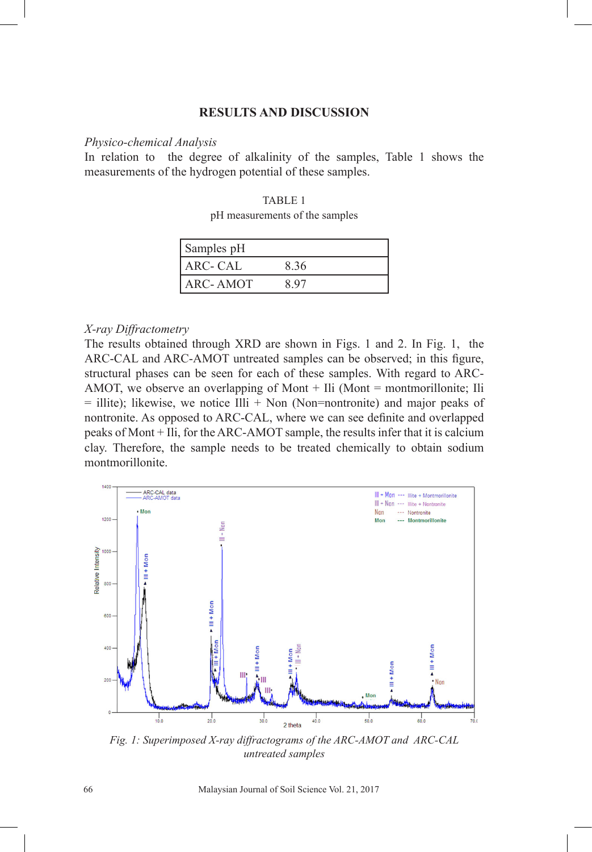# **RESULTS AND DISCUSSION**

#### *Physico-chemical Analysis*

In relation to the degree of alkalinity of the samples, Table 1 shows the measurements of the hydrogen potential of these samples.

## TABLE 1

pH measurements of the samples

| Samples pH |      |
|------------|------|
| ARC- CAL   | 8.36 |
| ARC- AMOT  | -97  |

#### *X-ray Diffractometry*

The results obtained through XRD are shown in Figs. 1 and 2. In Fig. 1, the ARC-CAL and ARC-AMOT untreated samples can be observed; in this figure, structural phases can be seen for each of these samples. With regard to ARC-AMOT, we observe an overlapping of Mont + Ili (Mont = montmorillonite; Ili  $=$  illite); likewise, we notice Illi  $+$  Non (Non=nontronite) and major peaks of nontronite. As opposed to ARC-CAL, where we can see definite and overlapped peaks of Mont + Ili, for the ARC-AMOT sample, the results infer that it is calcium clay. Therefore, the sample needs to be treated chemically to obtain sodium montmorillonite.



*Fig. 1: Superimposed X-ray diffractograms of the ARC-AMOT and ARC-CAL untreated samples*

66 Malaysian Journal of Soil Science Vol. 21, 2017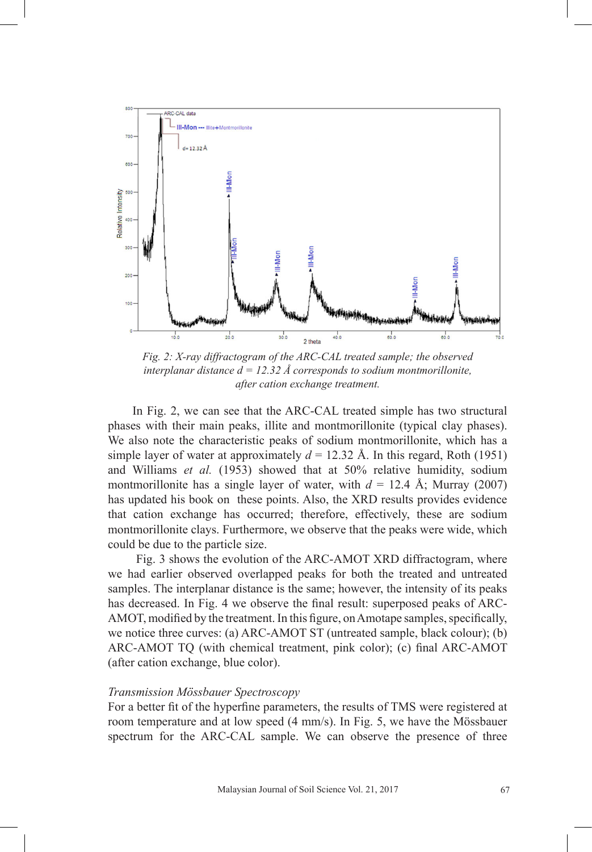

*Fig. 2: X-ray diffractogram of the ARC-CAL treated sample; the observed interplanar distance*  $d = 12.32$  *Å corresponds to sodium montmorillonite, after cation exchange treatment.*

In Fig. 2, we can see that the ARC-CAL treated simple has two structural phases with their main peaks, illite and montmorillonite (typical clay phases). We also note the characteristic peaks of sodium montmorillonite, which has a simple layer of water at approximately  $d = 12.32$  Å. In this regard, Roth (1951) and Williams *et al.* (1953) showed that at 50% relative humidity, sodium montmorillonite has a single layer of water, with  $d = 12.4$  Å; Murray (2007) has updated his book on these points. Also, the XRD results provides evidence that cation exchange has occurred; therefore, effectively, these are sodium montmorillonite clays. Furthermore, we observe that the peaks were wide, which could be due to the particle size.

 Fig. 3 shows the evolution of the ARC-AMOT XRD diffractogram, where we had earlier observed overlapped peaks for both the treated and untreated samples. The interplanar distance is the same; however, the intensity of its peaks has decreased. In Fig. 4 we observe the final result: superposed peaks of ARC-AMOT, modified by the treatment. In this figure, on Amotape samples, specifically, we notice three curves: (a) ARC-AMOT ST (untreated sample, black colour); (b) ARC-AMOT TQ (with chemical treatment, pink color); (c) final ARC-AMOT (after cation exchange, blue color).

## *Transmission Mössbauer Spectroscopy*

For a better fit of the hyperfine parameters, the results of TMS were registered at room temperature and at low speed (4 mm/s). In Fig. 5, we have the Mössbauer spectrum for the ARC-CAL sample. We can observe the presence of three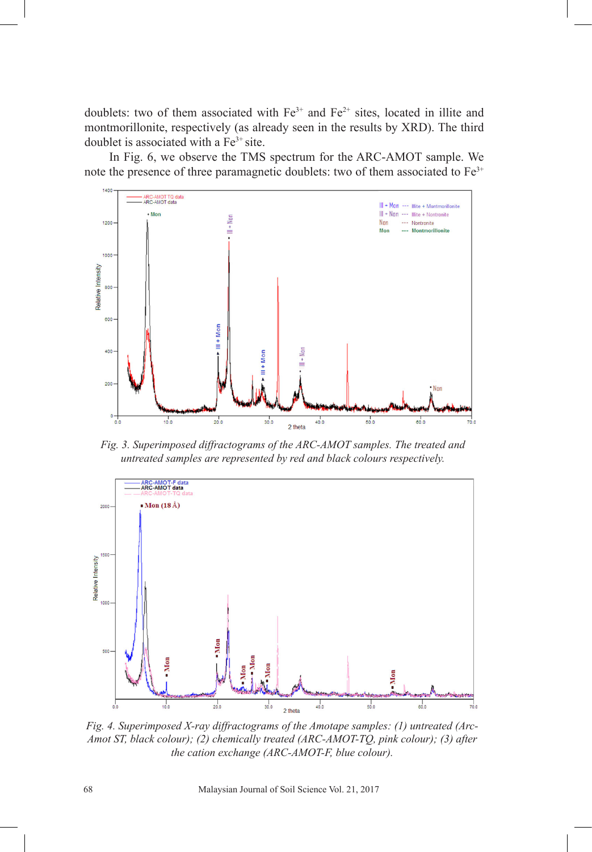doublets: two of them associated with  $Fe^{3+}$  and  $Fe^{2+}$  sites, located in illite and montmorillonite, respectively (as already seen in the results by XRD). The third doublet is associated with a  $Fe<sup>3+</sup>$  site.

In Fig. 6, we observe the TMS spectrum for the ARC-AMOT sample. We note the presence of three paramagnetic doublets: two of them associated to  $Fe<sup>3+</sup>$ 



*Fig. 3. Superimposed diffractograms of the ARC-AMOT samples. The treated and untreated samples are represented by red and black colours respectively.*



*Fig. 4. Superimposed X-ray diffractograms of the Amotape samples: (1) untreated (Arc-Amot ST, black colour); (2) chemically treated (ARC-AMOT-TQ, pink colour); (3) after the cation exchange (ARC-AMOT-F, blue colour).*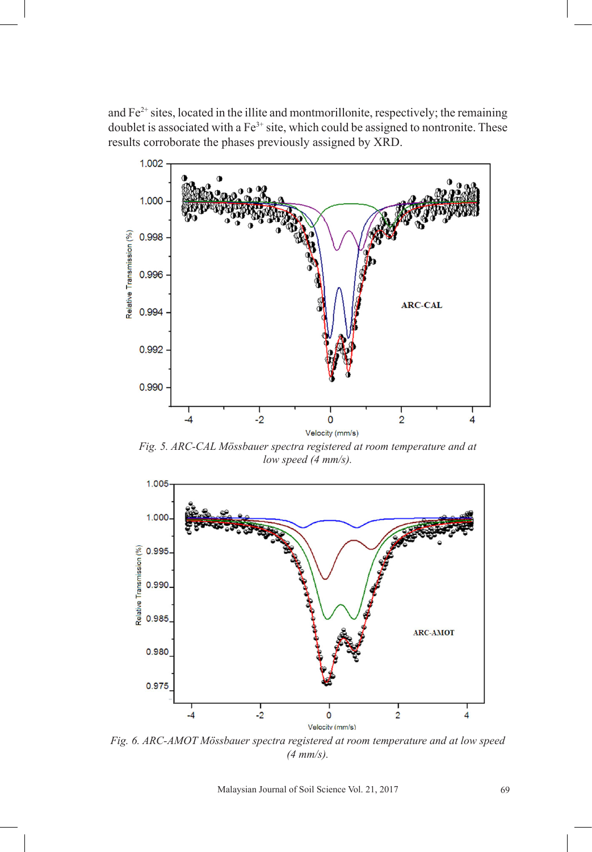and  $Fe<sup>2+</sup>$  sites, located in the illite and montmorillonite, respectively; the remaining doublet is associated with a  $Fe^{3+}$  site, which could be assigned to nontronite. These results corroborate the phases previously assigned by XRD.



*Fig. 5. ARC-CAL Mössbauer spectra registered at room temperature and at low speed (4 mm/s).*



*Fig. 6. ARC-AMOT Mössbauer spectra registered at room temperature and at low speed (4 mm/s).*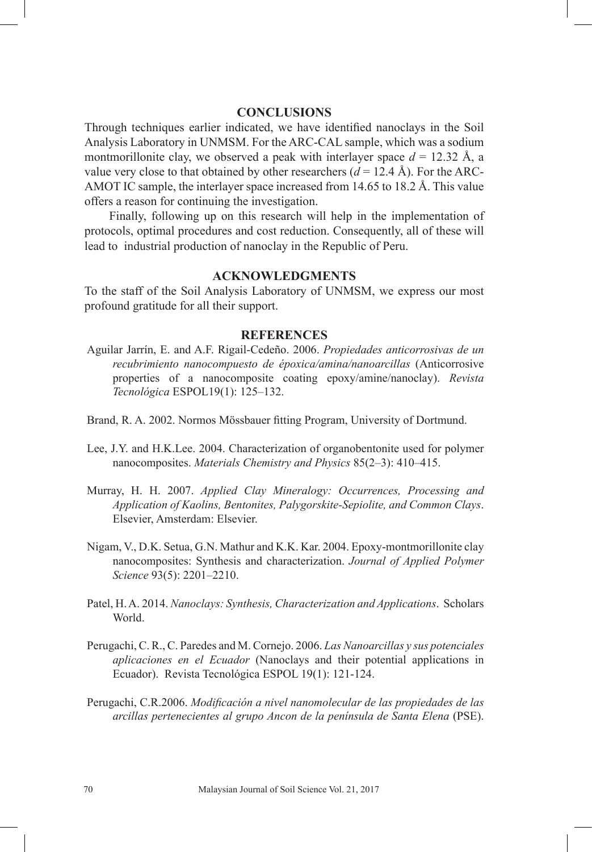# **CONCLUSIONS**

Through techniques earlier indicated, we have identified nanoclays in the Soil Analysis Laboratory in UNMSM. For the ARC-CAL sample, which was a sodium montmorillonite clay, we observed a peak with interlayer space  $d = 12.32 \text{ Å}$ , a value very close to that obtained by other researchers  $(d = 12.4 \text{ Å})$ . For the ARC-AMOT IC sample, the interlayer space increased from 14.65 to 18.2 Å. This value offers a reason for continuing the investigation.

Finally, following up on this research will help in the implementation of protocols, optimal procedures and cost reduction. Consequently, all of these will lead to industrial production of nanoclay in the Republic of Peru.

# **ACKNOWLEDGMENTS**

To the staff of the Soil Analysis Laboratory of UNMSM, we express our most profound gratitude for all their support.

## **REFERENCES**

- Aguilar Jarrín, E. and A.F. Rigail-Cedeño. 2006. *Propiedades anticorrosivas de un recubrimiento nanocompuesto de époxica/amina/nanoarcillas* (Anticorrosive properties of a nanocomposite coating epoxy/amine/nanoclay). *Revista Tecnológica* ESPOL19(1): 125–132.
- Brand, R. A. 2002. Normos Mössbauer fitting Program, University of Dortmund.
- Lee, J.Y. and H.K.Lee. 2004. Characterization of organobentonite used for polymer nanocomposites. *Materials Chemistry and Physics* 85(2–3): 410–415.
- Murray, H. H. 2007. *Applied Clay Mineralogy: Occurrences, Processing and Application of Kaolins, Bentonites, Palygorskite-Sepiolite, and Common Clays*. Elsevier, Amsterdam: Elsevier.
- Nigam, V., D.K. Setua, G.N. Mathur and K.K. Kar. 2004. Epoxy-montmorillonite clay nanocomposites: Synthesis and characterization. *Journal of Applied Polymer Science* 93(5): 2201–2210.
- Patel, H. A. 2014. *Nanoclays: Synthesis, Characterization and Applications*. Scholars World.
- Perugachi, C. R., C. Paredes and M. Cornejo. 2006. *Las Nanoarcillas y sus potenciales aplicaciones en el Ecuador* (Nanoclays and their potential applications in Ecuador). Revista Tecnológica ESPOL 19(1): 121-124.
- Perugachi, C.R.2006. *Modificación a nivel nanomolecular de las propiedades de las arcillas pertenecientes al grupo Ancon de la península de Santa Elena* (PSE).